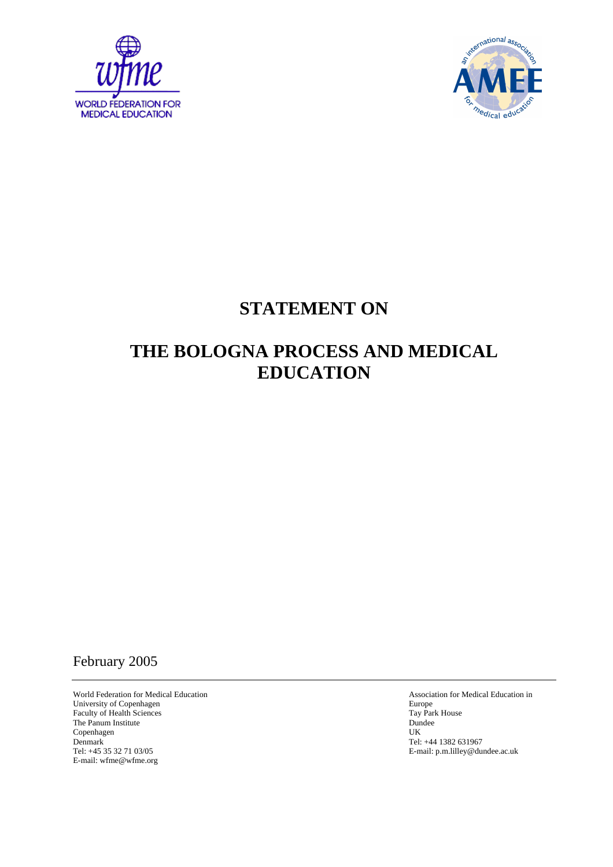



## **STATEMENT ON**

# **THE BOLOGNA PROCESS AND MEDICAL EDUCATION**

## February 2005

World Federation for Medical Education Association for Medical Education in University of Copenhagen Europe Europe Europe Europe Europe Europe Europe Europe Europe Europe Europe Europe Europe Europe Europe Europe Europe Europe Europe Europe Europe Europe Europe Europe Europe Europe Europe Europe E Faculty of Health Sciences Tay Park House Tay Park House Tay Park House Tay Park House Tay Park House Tay Park House Tay Park House Tay Park House Tay Park House Tay Park House Tay Park House Tay Park House Tay Park House The Panum Institute Dun<br>
Copenhagen UK Copenhagen<br>Denmark Denmark Tel: +45 35 32 71 03/05<br>
Tel: +45 35 32 71 03/05<br>
E-mail: p.m.lilley *@du* E-mail: wfme@wfme.org

E-mail: p.m.lilley@dundee.ac.uk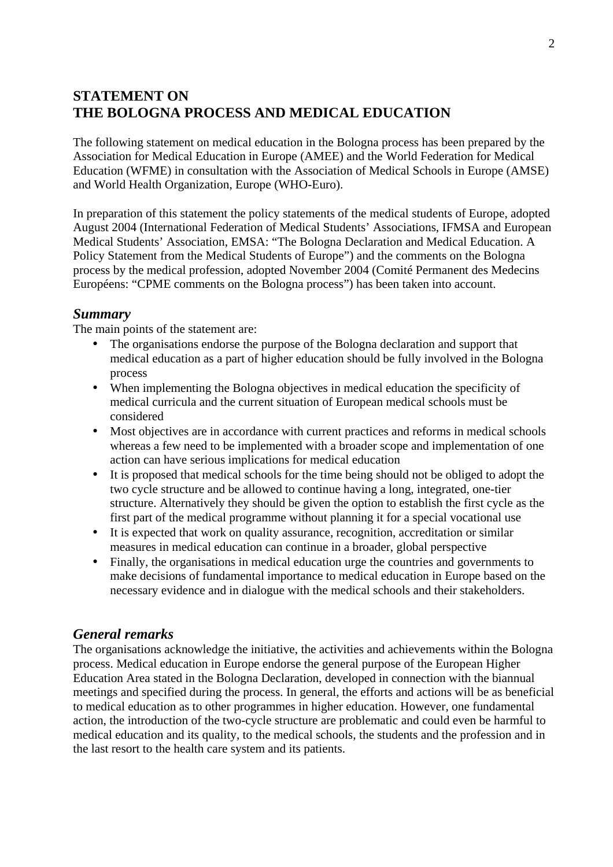## **STATEMENT ON THE BOLOGNA PROCESS AND MEDICAL EDUCATION**

The following statement on medical education in the Bologna process has been prepared by the Association for Medical Education in Europe (AMEE) and the World Federation for Medical Education (WFME) in consultation with the Association of Medical Schools in Europe (AMSE) and World Health Organization, Europe (WHO-Euro).

In preparation of this statement the policy statements of the medical students of Europe, adopted August 2004 (International Federation of Medical Students' Associations, IFMSA and European Medical Students' Association, EMSA: "The Bologna Declaration and Medical Education. A Policy Statement from the Medical Students of Europe") and the comments on the Bologna process by the medical profession, adopted November 2004 (Comité Permanent des Medecins Européens: "CPME comments on the Bologna process") has been taken into account.

#### *Summary*

The main points of the statement are:

- The organisations endorse the purpose of the Bologna declaration and support that medical education as a part of higher education should be fully involved in the Bologna process
- When implementing the Bologna objectives in medical education the specificity of medical curricula and the current situation of European medical schools must be considered
- Most objectives are in accordance with current practices and reforms in medical schools whereas a few need to be implemented with a broader scope and implementation of one action can have serious implications for medical education
- It is proposed that medical schools for the time being should not be obliged to adopt the two cycle structure and be allowed to continue having a long, integrated, one-tier structure. Alternatively they should be given the option to establish the first cycle as the first part of the medical programme without planning it for a special vocational use
- It is expected that work on quality assurance, recognition, accreditation or similar measures in medical education can continue in a broader, global perspective
- Finally, the organisations in medical education urge the countries and governments to make decisions of fundamental importance to medical education in Europe based on the necessary evidence and in dialogue with the medical schools and their stakeholders.

#### *General remarks*

The organisations acknowledge the initiative, the activities and achievements within the Bologna process. Medical education in Europe endorse the general purpose of the European Higher Education Area stated in the Bologna Declaration, developed in connection with the biannual meetings and specified during the process. In general, the efforts and actions will be as beneficial to medical education as to other programmes in higher education. However, one fundamental action, the introduction of the two-cycle structure are problematic and could even be harmful to medical education and its quality, to the medical schools, the students and the profession and in the last resort to the health care system and its patients.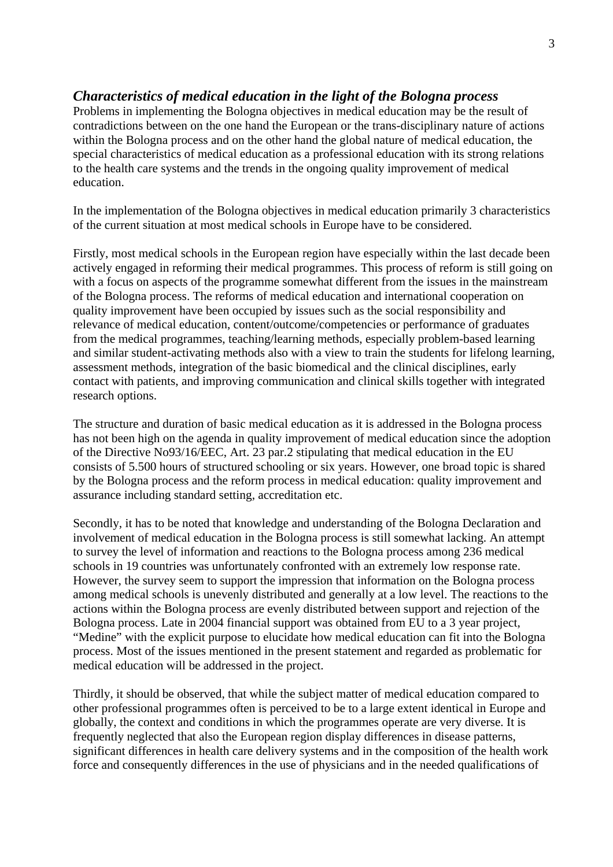#### *Characteristics of medical education in the light of the Bologna process*

Problems in implementing the Bologna objectives in medical education may be the result of contradictions between on the one hand the European or the trans-disciplinary nature of actions within the Bologna process and on the other hand the global nature of medical education, the special characteristics of medical education as a professional education with its strong relations to the health care systems and the trends in the ongoing quality improvement of medical education.

In the implementation of the Bologna objectives in medical education primarily 3 characteristics of the current situation at most medical schools in Europe have to be considered.

Firstly, most medical schools in the European region have especially within the last decade been actively engaged in reforming their medical programmes. This process of reform is still going on with a focus on aspects of the programme somewhat different from the issues in the mainstream of the Bologna process. The reforms of medical education and international cooperation on quality improvement have been occupied by issues such as the social responsibility and relevance of medical education, content/outcome/competencies or performance of graduates from the medical programmes, teaching/learning methods, especially problem-based learning and similar student-activating methods also with a view to train the students for lifelong learning, assessment methods, integration of the basic biomedical and the clinical disciplines, early contact with patients, and improving communication and clinical skills together with integrated research options.

The structure and duration of basic medical education as it is addressed in the Bologna process has not been high on the agenda in quality improvement of medical education since the adoption of the Directive No93/16/EEC, Art. 23 par.2 stipulating that medical education in the EU consists of 5.500 hours of structured schooling or six years. However, one broad topic is shared by the Bologna process and the reform process in medical education: quality improvement and assurance including standard setting, accreditation etc.

Secondly, it has to be noted that knowledge and understanding of the Bologna Declaration and involvement of medical education in the Bologna process is still somewhat lacking. An attempt to survey the level of information and reactions to the Bologna process among 236 medical schools in 19 countries was unfortunately confronted with an extremely low response rate. However, the survey seem to support the impression that information on the Bologna process among medical schools is unevenly distributed and generally at a low level. The reactions to the actions within the Bologna process are evenly distributed between support and rejection of the Bologna process. Late in 2004 financial support was obtained from EU to a 3 year project, "Medine" with the explicit purpose to elucidate how medical education can fit into the Bologna process. Most of the issues mentioned in the present statement and regarded as problematic for medical education will be addressed in the project.

Thirdly, it should be observed, that while the subject matter of medical education compared to other professional programmes often is perceived to be to a large extent identical in Europe and globally, the context and conditions in which the programmes operate are very diverse. It is frequently neglected that also the European region display differences in disease patterns, significant differences in health care delivery systems and in the composition of the health work force and consequently differences in the use of physicians and in the needed qualifications of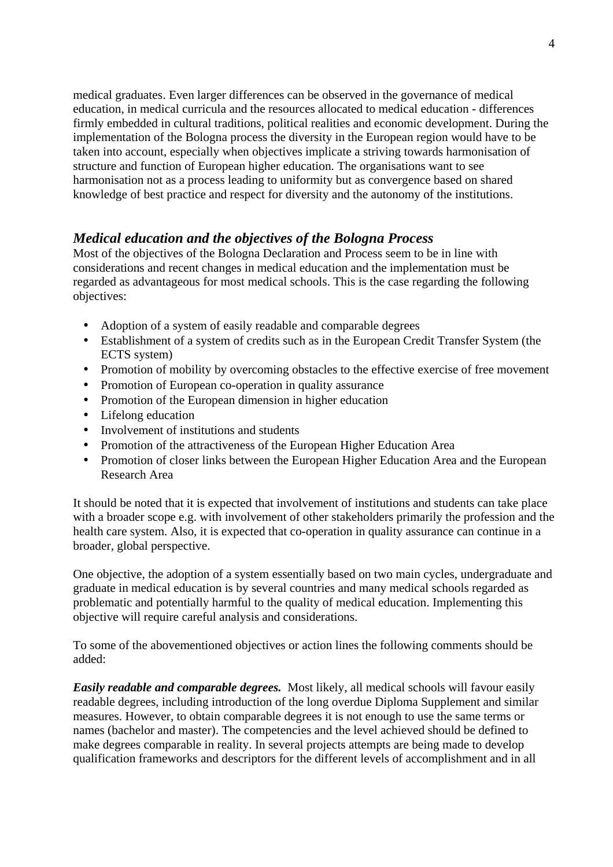medical graduates. Even larger differences can be observed in the governance of medical education, in medical curricula and the resources allocated to medical education - differences firmly embedded in cultural traditions, political realities and economic development. During the implementation of the Bologna process the diversity in the European region would have to be taken into account, especially when objectives implicate a striving towards harmonisation of structure and function of European higher education. The organisations want to see harmonisation not as a process leading to uniformity but as convergence based on shared knowledge of best practice and respect for diversity and the autonomy of the institutions.

### *Medical education and the objectives of the Bologna Process*

Most of the objectives of the Bologna Declaration and Process seem to be in line with considerations and recent changes in medical education and the implementation must be regarded as advantageous for most medical schools. This is the case regarding the following objectives:

- Adoption of a system of easily readable and comparable degrees
- Establishment of a system of credits such as in the European Credit Transfer System (the ECTS system)
- Promotion of mobility by overcoming obstacles to the effective exercise of free movement
- Promotion of European co-operation in quality assurance
- Promotion of the European dimension in higher education
- Lifelong education
- Involvement of institutions and students
- Promotion of the attractiveness of the European Higher Education Area
- Promotion of closer links between the European Higher Education Area and the European Research Area

It should be noted that it is expected that involvement of institutions and students can take place with a broader scope e.g. with involvement of other stakeholders primarily the profession and the health care system. Also, it is expected that co-operation in quality assurance can continue in a broader, global perspective.

One objective, the adoption of a system essentially based on two main cycles, undergraduate and graduate in medical education is by several countries and many medical schools regarded as problematic and potentially harmful to the quality of medical education. Implementing this objective will require careful analysis and considerations.

To some of the abovementioned objectives or action lines the following comments should be added:

*Easily readable and comparable degrees.* Most likely, all medical schools will favour easily readable degrees, including introduction of the long overdue Diploma Supplement and similar measures. However, to obtain comparable degrees it is not enough to use the same terms or names (bachelor and master). The competencies and the level achieved should be defined to make degrees comparable in reality. In several projects attempts are being made to develop qualification frameworks and descriptors for the different levels of accomplishment and in all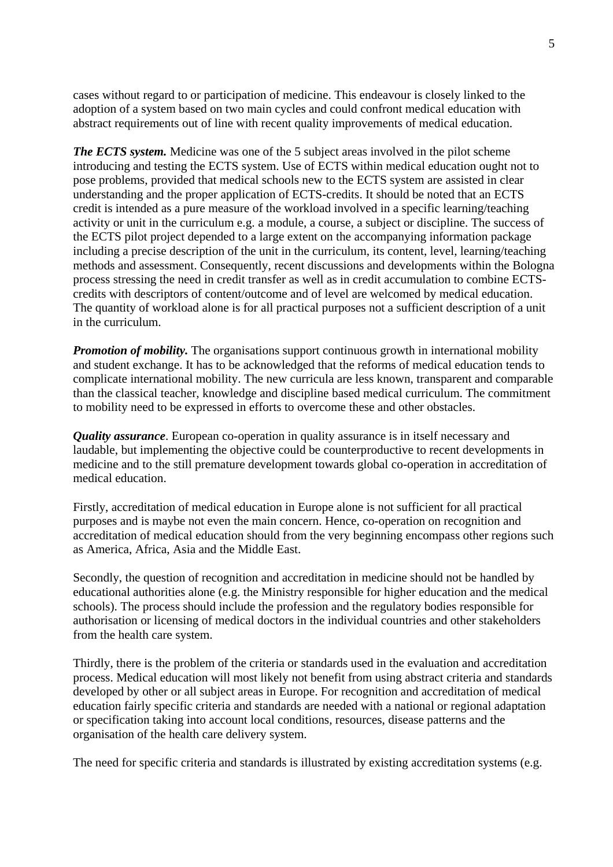cases without regard to or participation of medicine. This endeavour is closely linked to the adoption of a system based on two main cycles and could confront medical education with abstract requirements out of line with recent quality improvements of medical education.

*The ECTS system.* Medicine was one of the 5 subject areas involved in the pilot scheme introducing and testing the ECTS system. Use of ECTS within medical education ought not to pose problems, provided that medical schools new to the ECTS system are assisted in clear understanding and the proper application of ECTS-credits. It should be noted that an ECTS credit is intended as a pure measure of the workload involved in a specific learning/teaching activity or unit in the curriculum e.g. a module, a course, a subject or discipline. The success of the ECTS pilot project depended to a large extent on the accompanying information package including a precise description of the unit in the curriculum, its content, level, learning/teaching methods and assessment. Consequently, recent discussions and developments within the Bologna process stressing the need in credit transfer as well as in credit accumulation to combine ECTScredits with descriptors of content/outcome and of level are welcomed by medical education. The quantity of workload alone is for all practical purposes not a sufficient description of a unit in the curriculum.

*Promotion of mobility.* The organisations support continuous growth in international mobility and student exchange. It has to be acknowledged that the reforms of medical education tends to complicate international mobility. The new curricula are less known, transparent and comparable than the classical teacher, knowledge and discipline based medical curriculum. The commitment to mobility need to be expressed in efforts to overcome these and other obstacles.

*Quality assurance.* European co-operation in quality assurance is in itself necessary and laudable, but implementing the objective could be counterproductive to recent developments in medicine and to the still premature development towards global co-operation in accreditation of medical education.

Firstly, accreditation of medical education in Europe alone is not sufficient for all practical purposes and is maybe not even the main concern. Hence, co-operation on recognition and accreditation of medical education should from the very beginning encompass other regions such as America, Africa, Asia and the Middle East.

Secondly, the question of recognition and accreditation in medicine should not be handled by educational authorities alone (e.g. the Ministry responsible for higher education and the medical schools). The process should include the profession and the regulatory bodies responsible for authorisation or licensing of medical doctors in the individual countries and other stakeholders from the health care system.

Thirdly, there is the problem of the criteria or standards used in the evaluation and accreditation process. Medical education will most likely not benefit from using abstract criteria and standards developed by other or all subject areas in Europe. For recognition and accreditation of medical education fairly specific criteria and standards are needed with a national or regional adaptation or specification taking into account local conditions, resources, disease patterns and the organisation of the health care delivery system.

The need for specific criteria and standards is illustrated by existing accreditation systems (e.g.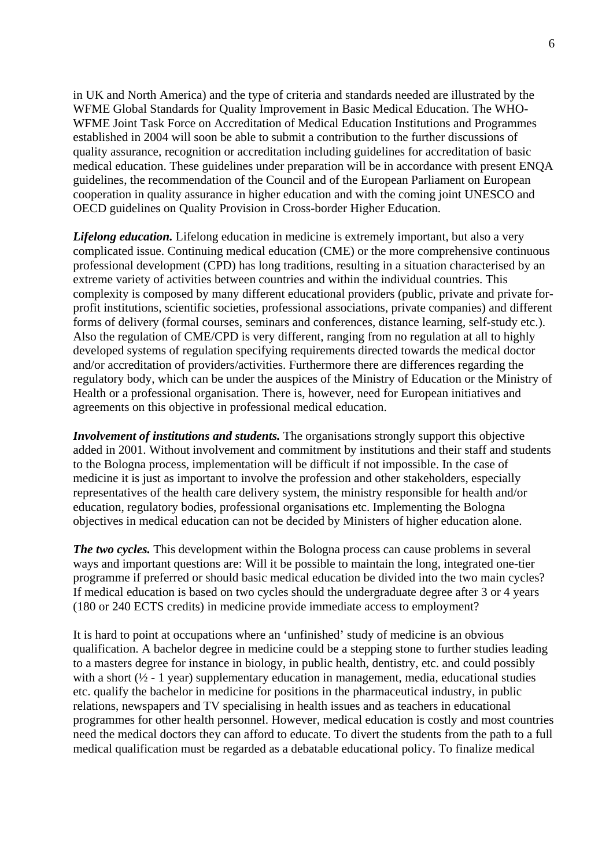in UK and North America) and the type of criteria and standards needed are illustrated by the WFME Global Standards for Quality Improvement in Basic Medical Education. The WHO-WFME Joint Task Force on Accreditation of Medical Education Institutions and Programmes established in 2004 will soon be able to submit a contribution to the further discussions of quality assurance, recognition or accreditation including guidelines for accreditation of basic medical education. These guidelines under preparation will be in accordance with present ENQA guidelines, the recommendation of the Council and of the European Parliament on European cooperation in quality assurance in higher education and with the coming joint UNESCO and OECD guidelines on Quality Provision in Cross-border Higher Education.

*Lifelong education.* Lifelong education in medicine is extremely important, but also a very complicated issue. Continuing medical education (CME) or the more comprehensive continuous professional development (CPD) has long traditions, resulting in a situation characterised by an extreme variety of activities between countries and within the individual countries. This complexity is composed by many different educational providers (public, private and private forprofit institutions, scientific societies, professional associations, private companies) and different forms of delivery (formal courses, seminars and conferences, distance learning, self-study etc.). Also the regulation of CME/CPD is very different, ranging from no regulation at all to highly developed systems of regulation specifying requirements directed towards the medical doctor and/or accreditation of providers/activities. Furthermore there are differences regarding the regulatory body, which can be under the auspices of the Ministry of Education or the Ministry of Health or a professional organisation. There is, however, need for European initiatives and agreements on this objective in professional medical education.

*Involvement of institutions and students.* The organisations strongly support this objective added in 2001. Without involvement and commitment by institutions and their staff and students to the Bologna process, implementation will be difficult if not impossible. In the case of medicine it is just as important to involve the profession and other stakeholders, especially representatives of the health care delivery system, the ministry responsible for health and/or education, regulatory bodies, professional organisations etc. Implementing the Bologna objectives in medical education can not be decided by Ministers of higher education alone.

*The two cycles.* This development within the Bologna process can cause problems in several ways and important questions are: Will it be possible to maintain the long, integrated one-tier programme if preferred or should basic medical education be divided into the two main cycles? If medical education is based on two cycles should the undergraduate degree after 3 or 4 years (180 or 240 ECTS credits) in medicine provide immediate access to employment?

It is hard to point at occupations where an 'unfinished' study of medicine is an obvious qualification. A bachelor degree in medicine could be a stepping stone to further studies leading to a masters degree for instance in biology, in public health, dentistry, etc. and could possibly with a short  $(\frac{1}{2} - 1)$  year) supplementary education in management, media, educational studies etc. qualify the bachelor in medicine for positions in the pharmaceutical industry, in public relations, newspapers and TV specialising in health issues and as teachers in educational programmes for other health personnel. However, medical education is costly and most countries need the medical doctors they can afford to educate. To divert the students from the path to a full medical qualification must be regarded as a debatable educational policy. To finalize medical